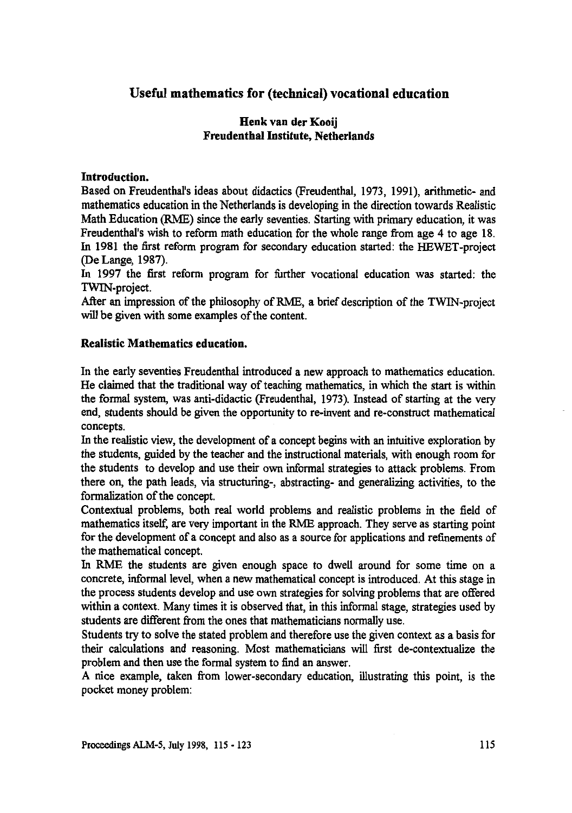# **Useful mathematics for (technical) vocational education**

### **Henk van der Kooij Freudenthal Institute, Netherlands**

#### **Introduction.**

Based on Freudenthal's ideas about didactics (Freudenthal, 1973, 1991), arithmetic- and mathematics education in the Netherlands is developing in the direction towards Realistic Math Education (RME) since the early seventies. Starting with primary education, it was Freudenthal's wish to reform math education for the whole range from age 4 to age 18. In 1981 the first reform program for secondary education started: the HEWET-project (De Lange, 1987).

In 1997 the first reform program for further vocational education was started: the TWIN-project.

After an impression of the philosophy of RME, a brief description of the TWIN-project will be given with some examples of the content.

#### **Realistic Mathematics education.**

In the early seventies Freudenthal introduced a new approach to mathematics education. He claimed that the traditional way of teaching mathematics, in which the start is within the formal system, was anti-didactic (Freudenthal, 1973). Instead of starting at the very end, students should be given the opportunity to re-invent and re-construct mathematical concepts.

In the realistic view, the development of a concept begins with an intuitive exploration by the students, guided by the teacher and the instructional materials, with enough room for the students to develop and use their own informal strategies to attack problems. From there on, the path leads, via structuring-, abstracting- and generalizing activities, to the formalization of the concept.

Contextual problems, both real world problems and realistic problems in the field of mathematics itself, are very important in the RME approach. They serve as starting point for the development of a concept and also as a source for applications and refinements of the mathematical concept.

In ME the students are given enough space to dwell around for some time on a concrete, informal level, when a new mathematical concept is introduced. At this stage in the process students develop and use own strategies for solving problems that are offered within a context. Many times it is observed that, in this informal stage, strategies used by students are different from the ones that mathematicians normally use.

Students try to solve the stated problem and therefore use the given context as a basis for their calculations and reasoning. Most mathematicians will first de-contextualize the problem and then use the formal system to find an answer.

A nice example, taken from lower-secondary education, illustrating this point, is the pocket money problem: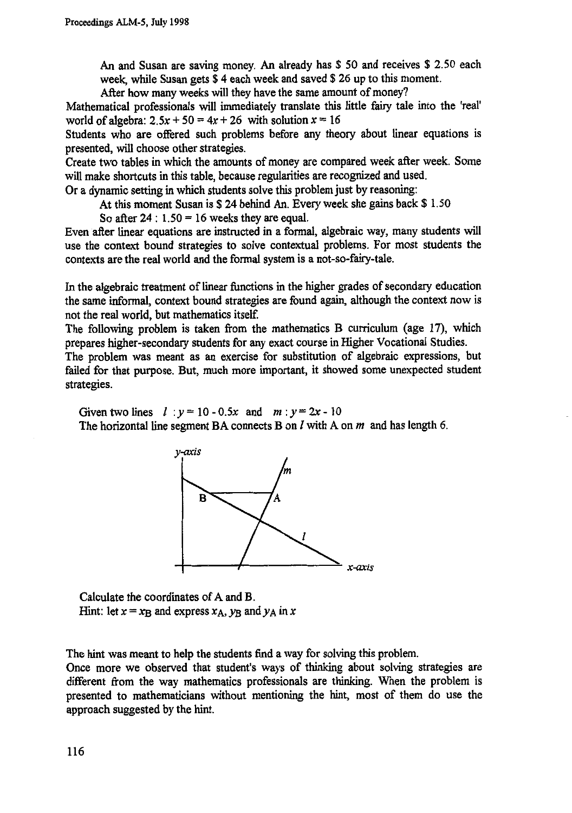**An and Susan are saving money. An already has \$ 50 and receives \$ 2.50 each week, while Susan gets \$ 4 each week and saved \$ 26 up to this moment.**

**After how many weeks will they have the same amount of money?**

**Mathematical professionals will immediately translate this little fairy tale into the 'real'** world of algebra:  $2.5x + 50 = 4x + 26$  with solution  $x = 16$ 

**Students who are offered such problems before any theory about linear equations is presented, will choose other strategies.**

**Create two tables in which the amounts of money are compared week after week. Some will make shortcuts in this table, because regularities are recognized and used.**

**Or a dynamic setting in which students solve this problem just by reasoning:**

**At this moment Susan is \$ 24 behind An. Every week she gains back \$ 1.50**

So after  $24$  :  $1.50 = 16$  weeks they are equal.

**Even after linear equations are instructed in a formal, algebraic way, many students will use the context bound strategies to solve contextual problems. For most students the contexts are the real world and the formal system is a not-so-fairy-tale.**

**In the algebraic treatment of linear functions in the higher grades of secondary education the same informal, context bound strategies are found again, although the context now is not the real world, but mathematics itself**

**The following problem is taken from the mathematics B curriculum (age 17), which prepares higher-secondary students for any exact course in Higher Vocational Studies.**

**The problem was meant as an exercise for substitution of algebraic expressions, but failed for that purpose. But, much more important, it showed some unexpected student strategies.**

Given two lines  $l : y = 10 - 0.5x$  and  $m : y = 2x - 10$ **The horizontal line segment BA connects B on 1 with A on m and has length 6.**



**Calculate the coordinates of A and B. Hint:** let  $x = x_B$  and express  $x_A$ ,  $y_B$  and  $y_A$  in x

**The hint was meant to help the students find a way for solving this problem.**

**Once more we observed that student's ways of thinking about solving strategies are different from the way mathematics professionals are thinking. When the problem is presented to mathematicians without mentioning the hint, most of them do use the approach suggested by the hint.**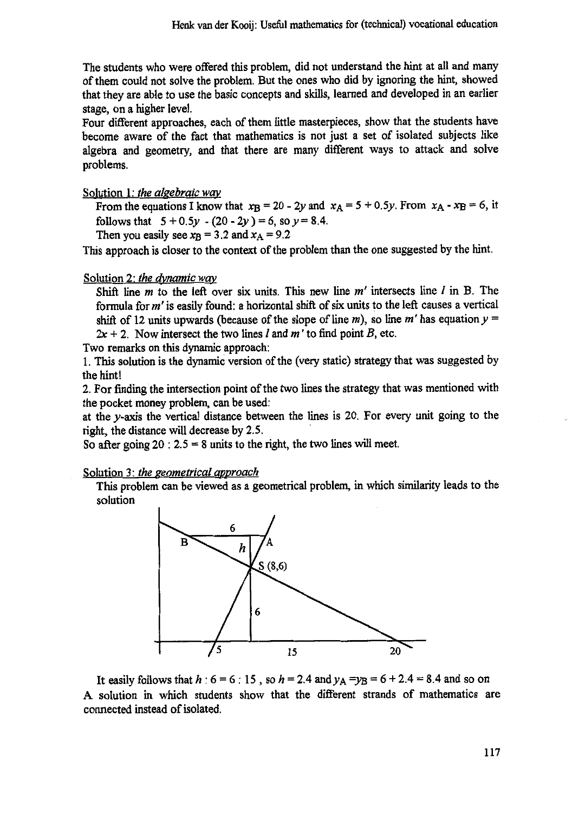The students who were offered this problem, did not understand the hint at all and many of them could not solve the problem. But the ones who did by ignoring the hint, showed that they are able to use the basic concepts and skills, learned and developed in an earlier stage, on a higher level.

Four different approaches, each of them little masterpieces, show that the students have become aware of the fact that mathematics is not just a set of isolated subjects like algebra and geometry, and that there are many different ways to attack and solve problems.

Solution 1: *the algebraic way*

From the equations I know that  $x_{\text{B}} = 20 - 2y$  and  $x_{\text{A}} = 5 + 0.5y$ . From  $x_{\text{A}} - x_{\text{B}} = 6$ , it follows that  $5 + 0.5y - (20 - 2y) = 6$ , so  $y = 8.4$ .

Then you easily see  $x_B = 3.2$  and  $x_A = 9.2$ 

This approach is closer to the context of the problem than the one suggested by the hint.

Solution 2: *the dynamic way*

Shift line  $m$  to the left over six units. This new line  $m'$  intersects line  $l$  in B. The formula for  $m'$  is easily found: a horizontal shift of six units to the left causes a vertical shift of 12 units upwards (because of the slope of line m), so line m' has equation  $y =$  $2x + 2$ . Now intersect the two lines *l* and *m* ' to find point *B*, etc.

Two remarks on this dynamic approach:

1.This solution is the dynamic version of the (very static) strategy that was suggested by the hint!

2. For finding the intersection point of the two lines the strategy that was mentioned with the pocket money problem, can be used:

at the y-axis the vertical distance between the lines is 20. For every unit going to the right, the distance will decrease by 2.5.

So after going  $20: 2.5 = 8$  units to the right, the two lines will meet.

Solution 3: *the geometrical approach*

This problem can be viewed as a geometrical problem, in which similarity leads to the solution



It easily follows that *h* :  $6 = 6$  : 15, so *h* = 2.4 and  $y_A = y_B = 6 + 2.4 = 8.4$  and so on A solution in which students show that the different strands of mathematics are connected instead of isolated.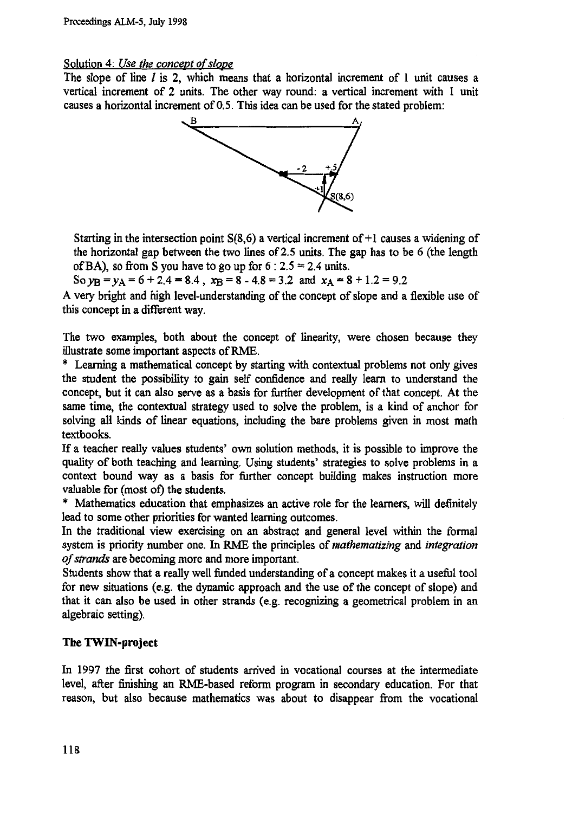#### **Solution 4:** *Use the concept of slope*

**The slope of line** *1* **is 2, which means that a horizontal increment of 1 unit causes a vertical increment of 2 units. The other way round: a vertical increment with 1 unit causes a horizontal increment of 0.5. This idea can be used for the stated problem:**



**Starting in the intersection point S(8,6) a vertical increment of +1 causes a widening of the horizontal gap between the two lines of 2.5 units. The gap has to be 6 (the length of BA), so from S you have to go up for 6 : 2.5 = 2.4 units.**

So  $y_B = y_A = 6 + 2.4 = 8.4$ ,  $x_B = 8 - 4.8 = 3.2$  and  $x_A = 8 + 1.2 = 9.2$ 

**A very bright and high level-understanding of the concept of slope and a flexible use of this concept in a different way.**

**The two examples, both about the concept of linearity, were chosen because they illustrate some important aspects of RME.**

**\* Learning a mathematical concept by starting with contextual problems not only gives the student the possibility to gain self confidence and really learn to understand the concept, but it can also serve as a basis for further development of that concept. At the same time, the contextual strateay used to solve the problem, is a kind of anchor for solving all kinds of linear equations, including the bare problems given in most math textbooks.**

**If a teacher really values students' own solution methods, it is possible to improve the quality of both teaching and learning. Using students' strategies to solve problems in a context bound way as a basis for further concept building makes instruction more valuable for (most of) the students.**

**\* Mathematics education that emphasizes an active role for the learners, will definitely lead to some other priorities for wanted learning outcomes.**

**In the traditional view exercising on an abstract and general level within the formal system is priority number one. In RME the principles of** *mathematizing* **and** *integration of strands* **are becoming more and more important.**

**Students show that a really well funded understanding of a concept makes it a useful tool for new situations (e.g. the dynamic approach and the use of the concept of slope) and that it can also be used in other strands (e.g. recognizing a geometrical problem in an algebraic setting).**

### **The TWIN-project**

**In 1997 the first cohort of students arrived in vocational courses at the intermediate level, after finishing an RME-based reform program in secondary education. For that reason, but also because mathematics was about to disappear from the vocational**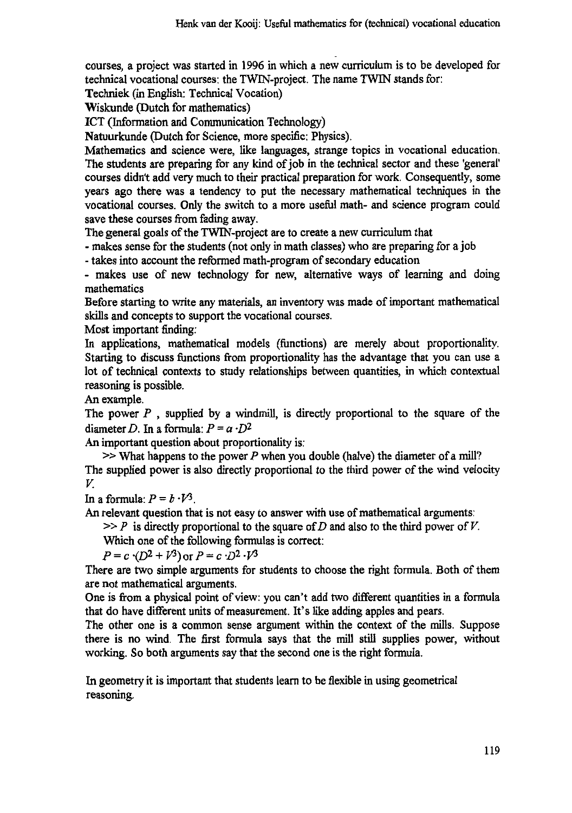courses, a project was started in 1996 in which a new curriculum is to be developed for technical vocational courses: the TWIN-project. The name TWIN stands for:

Techniek (in English: Technical Vocation)

Wiskunde (Dutch for mathematics)

ICT (Information and Communication Technology)

Natuurkunde (Dutch for Science, more specific: Physics).

Mathematics and science were, like languages, strange topics in vocational education. The students are preparing for any kind of job in the technical sector and these 'general' courses didn't add very much to their practical preparation for work. Consequently, some years ago there was a tendency to put the necessary mathematical techniques in the vocational courses. Only the switch to a more useful math- and science program could save these courses from fading away.

The general goals of the TWIN-project are to create a new curriculum that

- makes sense for the students (not only in math classes) who are preparing for a job

- takes into account the reformed math-program of secondary education

- makes use of new technology for new, alternative ways of learning and doing mathematics

Before starting to write any materials, an inventory was made of important mathematical skills and concepts to support the vocational courses.

Most important finding:

In applications, mathematical models (functions) are merely about proportionality. Starting to discuss functions from proportionality has the advantage that you can use a lot of technical contexts to study relationships between quantities, in which contextual reasoning is possible.

An example.

The power *P ,* supplied by a windmill, is directly proportional to the square of the diameter *D*. In a formula:  $P = a \cdot D^2$ 

An important question about proportionality is:

 $\gg$  What happens to the power P when you double (halve) the diameter of a mill? The supplied power is also directly proportional to the third power of the wind velocity *V.*

In a formula:  $P = b \cdot V^3$ .

An relevant question that is not easy to answer with use of mathematical arguments:

 $>> P$  is directly proportional to the square of *D* and also to the third power of *V*.

Which one of the following formulas is correct:

 $P = c \cdot (D^2 + V^3)$  or  $P = c \cdot D^2 \cdot V^3$ 

There are two simple arguments for students to choose the right formula. Both of them are not mathematical arguments.

One is from a physical point of view: you can't add two different quantities in a formula that do have different units of measurement. It's like adding apples and pears.

The other one is a common sense argument within the context of the mills. Suppose there is no wind. The first formula says that the mill still supplies power, without working. So both arguments say that the second one is the right formula.

In geometry it is important that students learn to be flexible in using geometrical reasoning.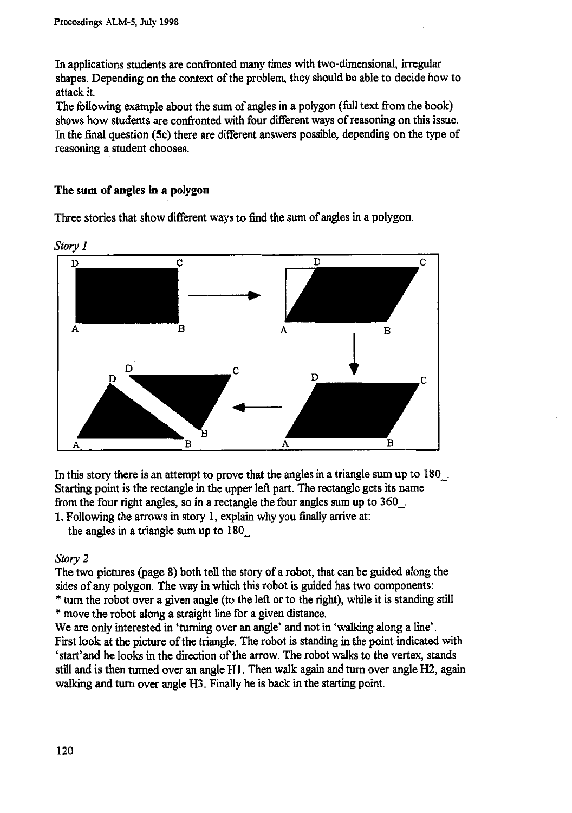In applications students are confronted many times with two-dimensional, irregular shapes. Depending on the context of the problem, they should be able to decide how to attack it.

The following example about the sum of angles in a polygon (full text from the book) shows how students are confronted with four different ways of reasoning on this issue. In the final question (5c) there are different answers possible, depending on the type of reasoning a student chooses.

## **The** sum **of angles in a polygon**

Three stories that show different ways to find the sum of angles in a polygon.



In this story there is an attempt to prove that the angles in a triangle sum up to  $180$ . Starting point is the rectangle in the upper left part. The rectangle gets its name from the four right angles, so in a rectangle the four angles sum up to

1. Following the arrows in story 1, explain why you finally arrive at: the angles in a triangle sum up to 180\_

### *Story 2*

The two pictures (page 8) both tell the story of a robot, that can be guided along the sides of any polygon. The way in which this robot is guided has two components: \* turn the robot over a given angle (to the left or to the right), while it is standing still

\* move the robot along a straight line for a given distance.

We are only interested in 'turning over an angle' and not in 'walking along a line'. First look at the picture of the triangle. The robot is standing in the point indicated with `start'and he looks in the direction of the arrow. The robot walks to the vertex, stands still and is then turned over an angle HI. Then walk again and turn over angle 112, again walking and turn over angle H3. Finally he is back in the starting point.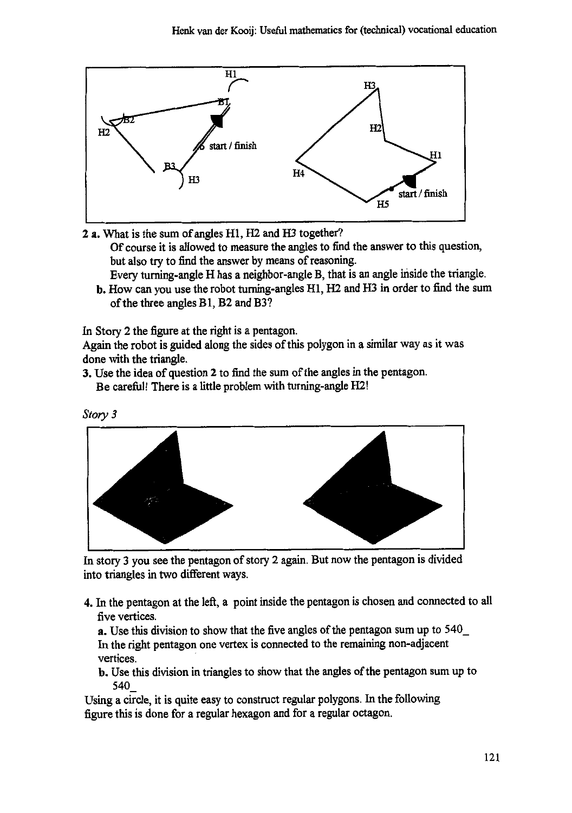

**2 a. What is the sum of angles H1, H2 and H3 together? Of course it is allowed to measure the angles to find the answer to this question, but also try to find the answer by means of reasoning. Every turning-angle H has a neighbor-angle B, that is an angle inside the triangle.**

**b. How can you use the robot turning-angles 111, H2 and H3 in order to find the sum of the three angles Bl, B2 and B3?**

**In Story 2 the figure at the right is a pentagon.**

**Again the robot is guided along the sides of this polygon in a similar way as it was done with the triangle.**

**3. Use the idea of question 2 to find the sum of the angles in the pentagon. Be careful! There is a little problem with turning-angle H2!**





**In story 3 you see the pentagon of story 2 again. But now the pentagon is divided into triangles in two different ways.**

**4. In the pentagon at the left, a point inside the pentagon is chosen and connected to all five vertices.**

**a. Use this division to show that the five angles of the pentagon sum up to 540\_ In the right pentagon one vertex is connected to the remaining non-adjacent vertices.**

**b. Use this division in triangles to show that the angles of the pentagon sum up to 540\_**

**Using a circle, it is quite easy to construct regular polygons. In the following figure this is done for a regular hexagon and for a regular octagon.**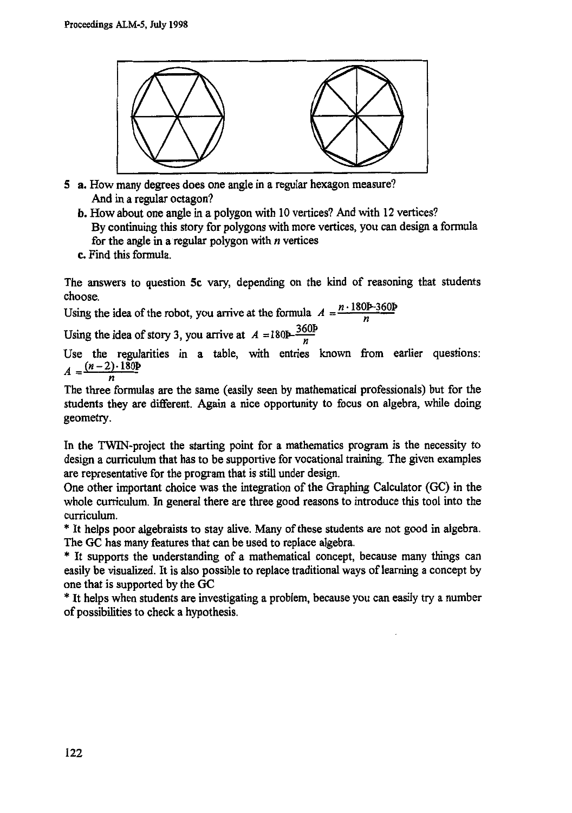

- **5 a. How many degrees does one angle in a regular hexagon measure? And in a regular octagon?**
	- **b. How about one angle in a polygon with 10 vertices? And with 12 vertices? By continuing this story for polygons with more vertices, you can design a formula for the angle in a regular polygon with n vertices**
	- **c. Find this formula.**

**The answers to question 5c vary, depending on the kind of reasoning that students choose.**

Using the idea of the robot, you arrive at the formula  $A = \frac{n \cdot 180 \cancel{p} - 360 \cancel{p}}{n}$ 

Using the idea of story 3, you arrive at  $A = 180P - \frac{360}{n}$ **11**

**Use the regularities in a table, with entries known from earlier questions:**  $A = \frac{(n-2) \cdot 180b}{n}$ 

**The three formulas are the same (easily seen by mathematical professionals) but for the students they are different. Again a nice opportunity to focus on algebra, while doing geometry.**

**In the TWIN-project the starting point for a mathematics program is the necessity to design a curriculum that has to be supportive for vocational training. The given examples are representative for the program that is still under design.**

**One other important choice was the integration of the Graphing Calculator (GC) in the whole curriculum. In general there are three good reasons to introduce this tool into the curriculum.**

**\* It helps poor algebraists to stay alive. Many of these students are not good in algebra. The GC has many features that can be used to replace algebra.**

**\* It supports the understanding of a mathematical concept, because many things can easily be visualized. It is also possible to replace traditional ways of learning a concept by one that is supported by the GC**

**\* It helps when students are investigating a problem, because you can easily try a number of possibilities to check a hypothesis.**